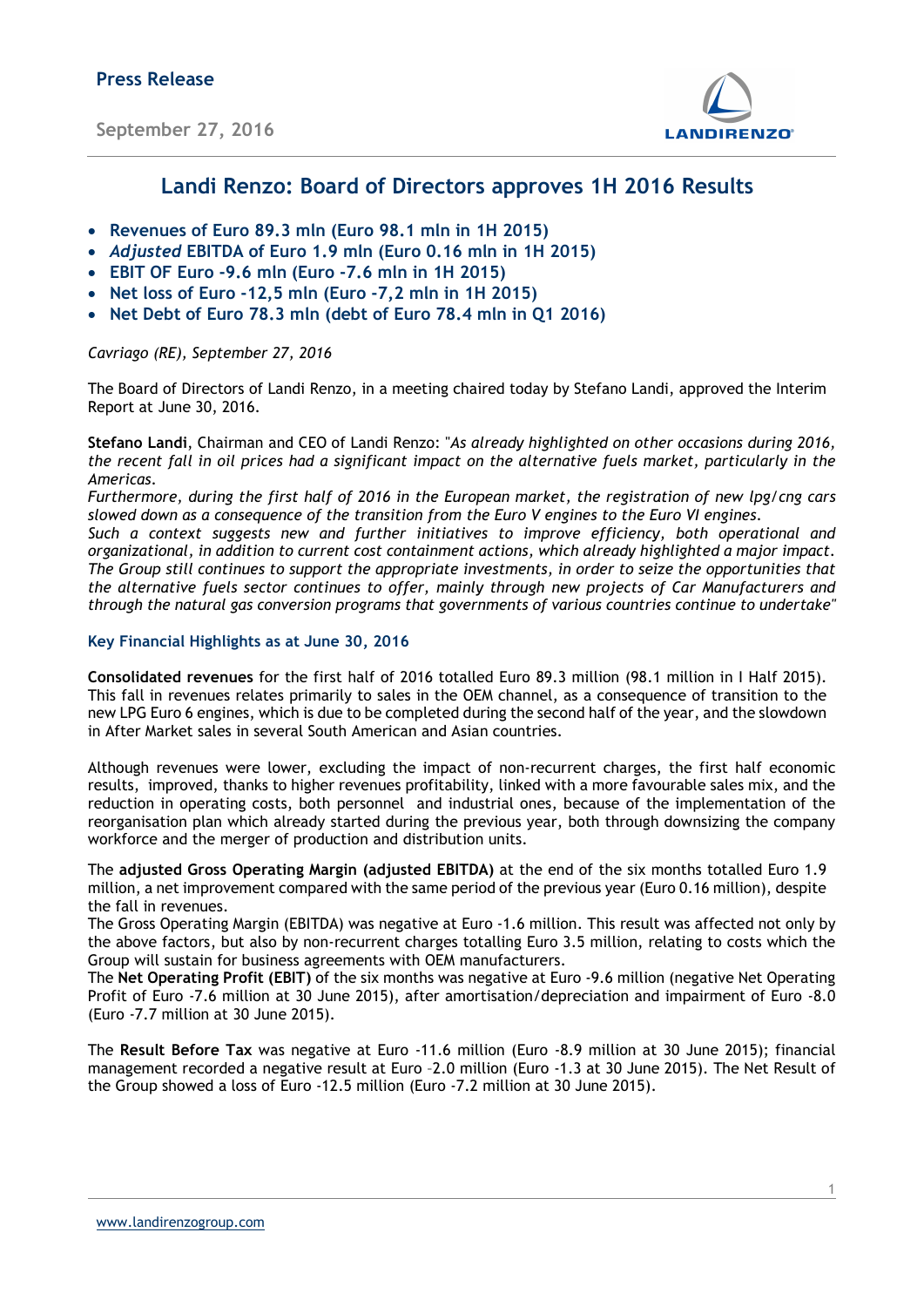September 27, 2016



### Landi Renzo: Board of Directors approves 1H 2016 Results

- Revenues of Euro 89.3 mln (Euro 98.1 mln in 1H 2015)
- Adjusted EBITDA of Euro 1.9 mln (Euro 0.16 mln in 1H 2015)
- EBIT OF Euro -9.6 mln (Euro -7.6 mln in 1H 2015)
- Net loss of Euro  $-12,5$  mln (Euro  $-7,2$  mln in 1H 2015)
- Net Debt of Euro 78.3 mln (debt of Euro 78.4 mln in Q1 2016)

Cavriago (RE), September 27, 2016

The Board of Directors of Landi Renzo, in a meeting chaired today by Stefano Landi, approved the Interim Report at June 30, 2016.

Stefano Landi, Chairman and CEO of Landi Renzo: "As already highlighted on other occasions during 2016, the recent fall in oil prices had a significant impact on the alternative fuels market, particularly in the Americas.

Furthermore, during the first half of 2016 in the European market, the registration of new lpg/cng cars slowed down as a consequence of the transition from the Euro V engines to the Euro VI engines.

Such a context suggests new and further initiatives to improve efficiency, both operational and organizational, in addition to current cost containment actions, which already highlighted a major impact. The Group still continues to support the appropriate investments, in order to seize the opportunities that the alternative fuels sector continues to offer, mainly through new projects of Car Manufacturers and through the natural gas conversion programs that governments of various countries continue to undertake"

### Key Financial Highlights as at June 30, 2016

Consolidated revenues for the first half of 2016 totalled Euro 89.3 million (98.1 million in I Half 2015). This fall in revenues relates primarily to sales in the OEM channel, as a consequence of transition to the new LPG Euro 6 engines, which is due to be completed during the second half of the year, and the slowdown in After Market sales in several South American and Asian countries.

Although revenues were lower, excluding the impact of non-recurrent charges, the first half economic results, improved, thanks to higher revenues profitability, linked with a more favourable sales mix, and the reduction in operating costs, both personnel and industrial ones, because of the implementation of the reorganisation plan which already started during the previous year, both through downsizing the company workforce and the merger of production and distribution units.

The adjusted Gross Operating Margin (adjusted EBITDA) at the end of the six months totalled Euro 1.9 million, a net improvement compared with the same period of the previous year (Euro 0.16 million), despite the fall in revenues.

The Gross Operating Margin (EBITDA) was negative at Euro -1.6 million. This result was affected not only by the above factors, but also by non-recurrent charges totalling Euro 3.5 million, relating to costs which the Group will sustain for business agreements with OEM manufacturers.

The Net Operating Profit (EBIT) of the six months was negative at Euro -9.6 million (negative Net Operating Profit of Euro -7.6 million at 30 June 2015), after amortisation/depreciation and impairment of Euro -8.0 (Euro -7.7 million at 30 June 2015).

The Result Before Tax was negative at Euro -11.6 million (Euro -8.9 million at 30 June 2015); financial management recorded a negative result at Euro –2.0 million (Euro -1.3 at 30 June 2015). The Net Result of the Group showed a loss of Euro -12.5 million (Euro -7.2 million at 30 June 2015).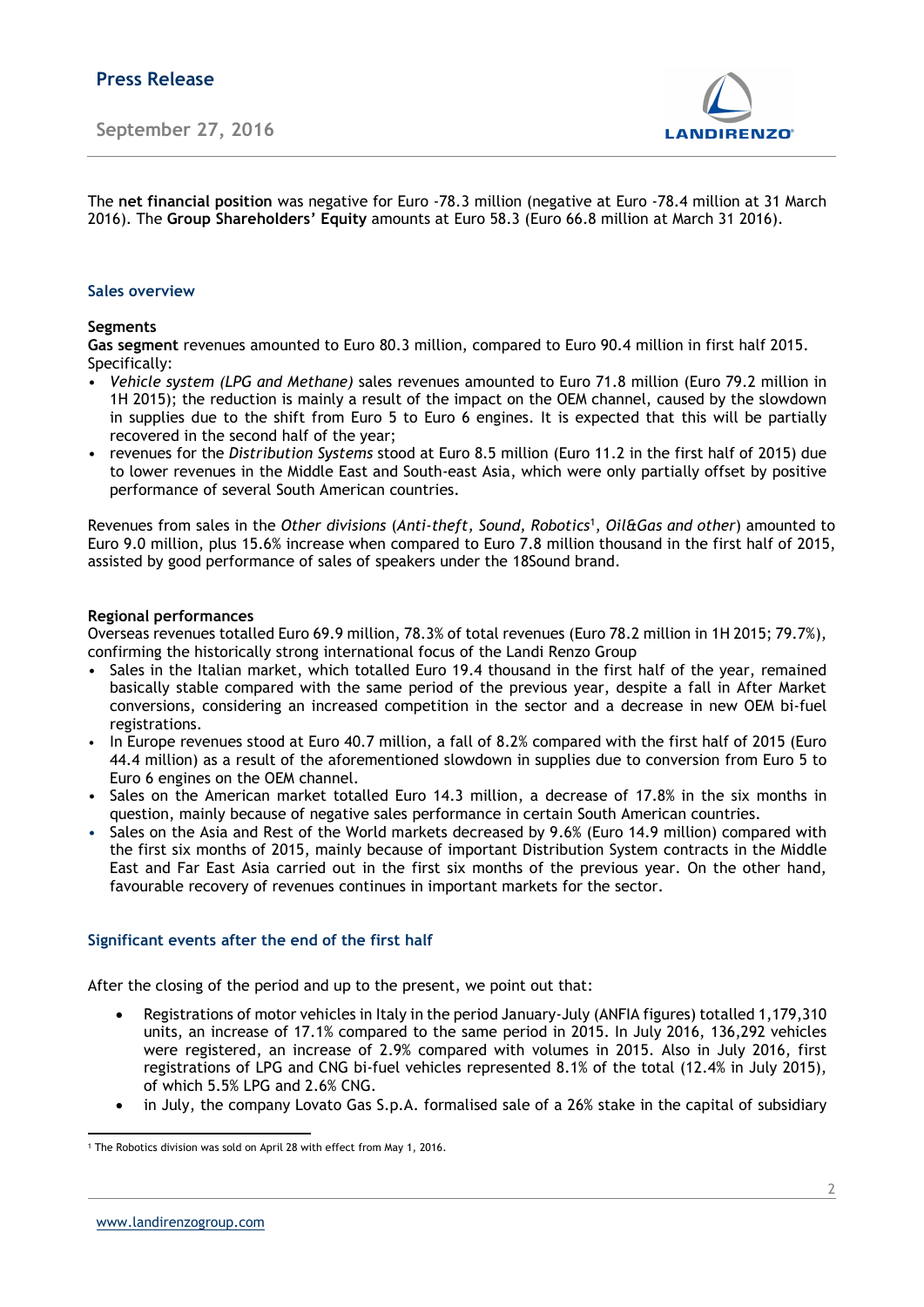

The net financial position was negative for Euro -78.3 million (negative at Euro -78.4 million at 31 March 2016). The Group Shareholders' Equity amounts at Euro 58.3 (Euro 66.8 million at March 31 2016).

### Sales overview

### Segments

Gas segment revenues amounted to Euro 80.3 million, compared to Euro 90.4 million in first half 2015. Specifically:

- Vehicle system (LPG and Methane) sales revenues amounted to Euro 71.8 million (Euro 79.2 million in 1H 2015); the reduction is mainly a result of the impact on the OEM channel, caused by the slowdown in supplies due to the shift from Euro 5 to Euro 6 engines. It is expected that this will be partially recovered in the second half of the year;
- revenues for the Distribution Systems stood at Euro 8.5 million (Euro 11.2 in the first half of 2015) due to lower revenues in the Middle East and South-east Asia, which were only partially offset by positive performance of several South American countries.

Revenues from sales in the Other divisions (Anti-theft, Sound, Robotics<sup>1</sup>, Oil&Gas and other) amounted to Euro 9.0 million, plus 15.6% increase when compared to Euro 7.8 million thousand in the first half of 2015, assisted by good performance of sales of speakers under the 18Sound brand.

### Regional performances

Overseas revenues totalled Euro 69.9 million, 78.3% of total revenues (Euro 78.2 million in 1H 2015; 79.7%), confirming the historically strong international focus of the Landi Renzo Group

- Sales in the Italian market, which totalled Euro 19.4 thousand in the first half of the year, remained basically stable compared with the same period of the previous year, despite a fall in After Market conversions, considering an increased competition in the sector and a decrease in new OEM bi-fuel registrations.
- In Europe revenues stood at Euro 40.7 million, a fall of 8.2% compared with the first half of 2015 (Euro 44.4 million) as a result of the aforementioned slowdown in supplies due to conversion from Euro 5 to Euro 6 engines on the OEM channel.
- Sales on the American market totalled Euro 14.3 million, a decrease of 17.8% in the six months in question, mainly because of negative sales performance in certain South American countries.
- Sales on the Asia and Rest of the World markets decreased by 9.6% (Euro 14.9 million) compared with the first six months of 2015, mainly because of important Distribution System contracts in the Middle East and Far East Asia carried out in the first six months of the previous year. On the other hand, favourable recovery of revenues continues in important markets for the sector.

### Significant events after the end of the first half

After the closing of the period and up to the present, we point out that:

- Registrations of motor vehicles in Italy in the period January-July (ANFIA figures) totalled 1,179,310 units, an increase of 17.1% compared to the same period in 2015. In July 2016, 136,292 vehicles were registered, an increase of 2.9% compared with volumes in 2015. Also in July 2016, first registrations of LPG and CNG bi-fuel vehicles represented 8.1% of the total (12.4% in July 2015), of which 5.5% LPG and 2.6% CNG.
- in July, the company Lovato Gas S.p.A. formalised sale of a 26% stake in the capital of subsidiary

<sup>-</sup>1 The Robotics division was sold on April 28 with effect from May 1, 2016.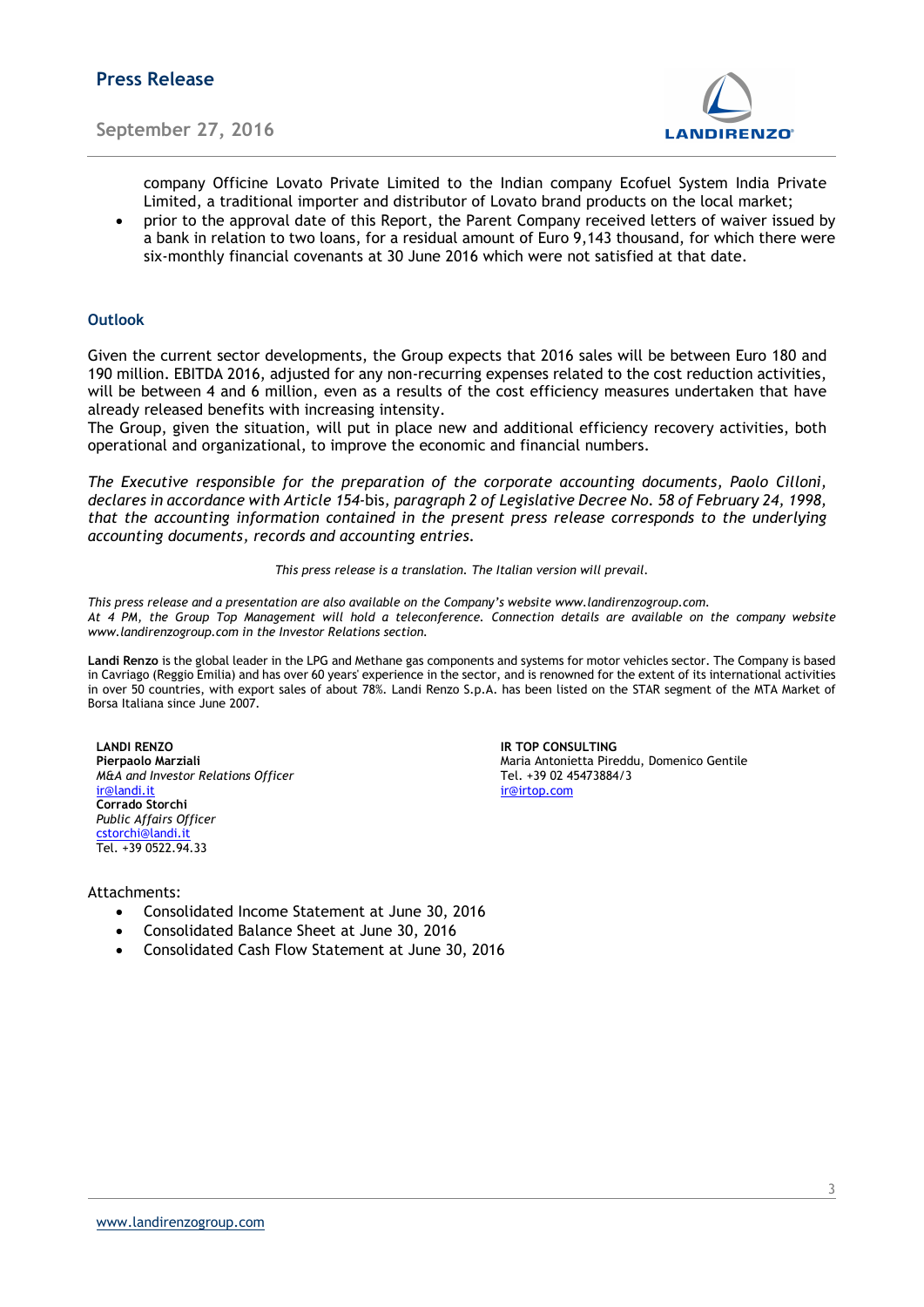

company Officine Lovato Private Limited to the Indian company Ecofuel System India Private Limited, a traditional importer and distributor of Lovato brand products on the local market;

 prior to the approval date of this Report, the Parent Company received letters of waiver issued by a bank in relation to two loans, for a residual amount of Euro 9,143 thousand, for which there were six-monthly financial covenants at 30 June 2016 which were not satisfied at that date.

### Outlook

Given the current sector developments, the Group expects that 2016 sales will be between Euro 180 and 190 million. EBITDA 2016, adjusted for any non-recurring expenses related to the cost reduction activities, will be between 4 and 6 million, even as a results of the cost efficiency measures undertaken that have already released benefits with increasing intensity.

The Group, given the situation, will put in place new and additional efficiency recovery activities, both operational and organizational, to improve the economic and financial numbers.

The Executive responsible for the preparation of the corporate accounting documents, Paolo Cilloni, declares in accordance with Article 154-bis, paragraph 2 of Legislative Decree No. 58 of February 24, 1998, that the accounting information contained in the present press release corresponds to the underlying accounting documents, records and accounting entries.

This press release is a translation. The Italian version will prevail.

This press release and a presentation are also available on the Company's website www.landirenzogroup.com. At 4 PM, the Group Top Management will hold a teleconference. Connection details are available on the company website www.landirenzogroup.com in the Investor Relations section.

Landi Renzo is the global leader in the LPG and Methane gas components and systems for motor vehicles sector. The Company is based in Cavriago (Reggio Emilia) and has over 60 years' experience in the sector, and is renowned for the extent of its international activities in over 50 countries, with export sales of about 78%. Landi Renzo S.p.A. has been listed on the STAR segment of the MTA Market of Borsa Italiana since June 2007.

LANDI RENZO **IR TOP CONSULTING**  $M&A$  and Investor Relations Officer ir@landi.it ir@irtop.com Corrado Storchi Public Affairs Officer cstorchi@landi.i Tel. +39 0522.94.33

Pierpaolo Marziali Marziali (antico Centile Maria Antonietta Pireddu, Domenico Gentile Maria Antonietta Pireddu, Domenico Gentile Maria Antonietta Pireddu, Domenico Gentile Maria Antonietta Pireddu, Domenico Gentile Maria

#### Attachments:

- Consolidated Income Statement at June 30, 2016
- Consolidated Balance Sheet at June 30, 2016
- Consolidated Cash Flow Statement at June 30, 2016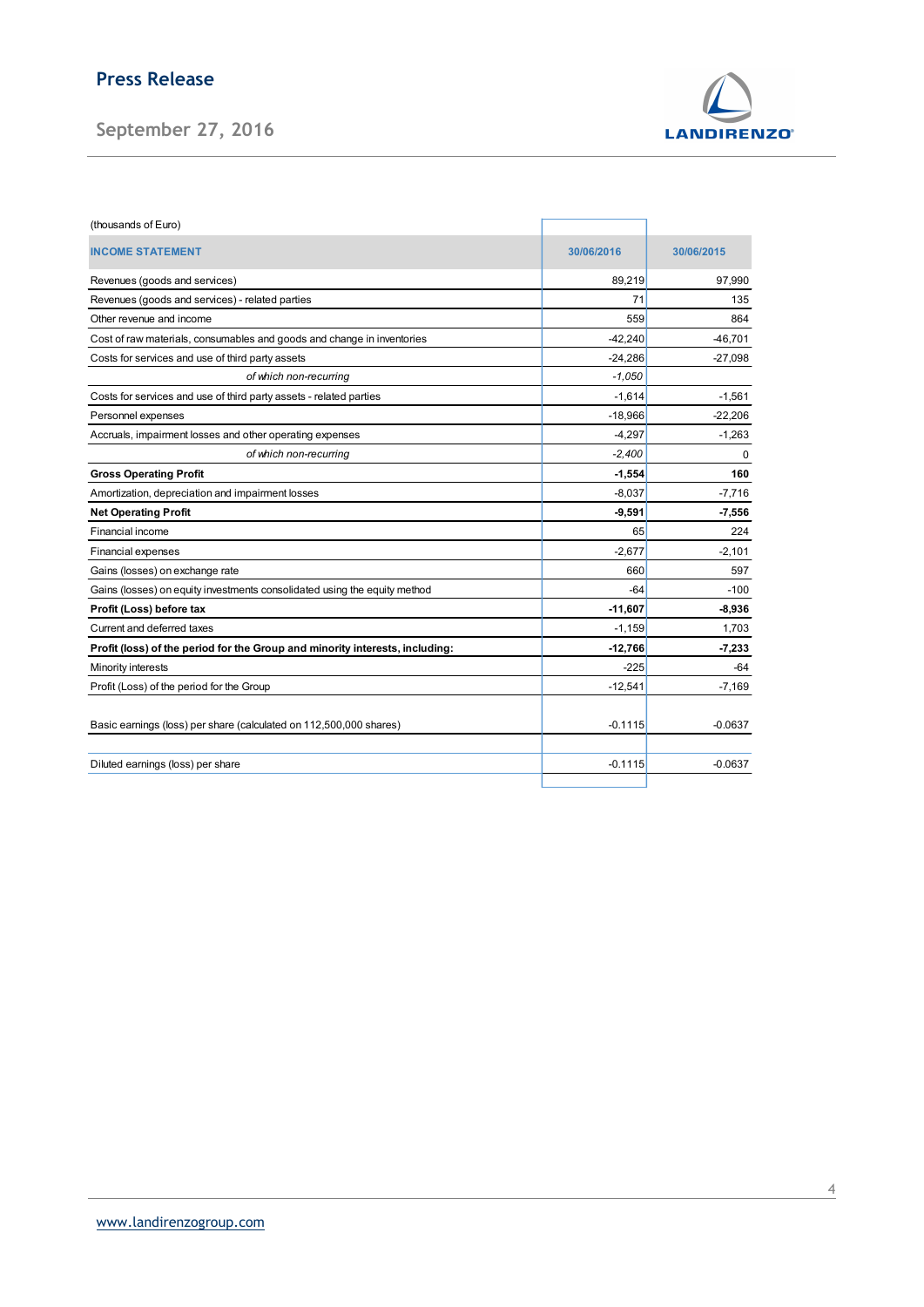# Press Release



| <b>Press Release</b>                                                                               |                     |                   |  |
|----------------------------------------------------------------------------------------------------|---------------------|-------------------|--|
|                                                                                                    |                     |                   |  |
| September 27, 2016                                                                                 |                     | <b>LANDIRENZO</b> |  |
|                                                                                                    |                     |                   |  |
|                                                                                                    |                     |                   |  |
|                                                                                                    |                     |                   |  |
| (thousands of Euro)                                                                                |                     |                   |  |
| <b>INCOME STATEMENT</b>                                                                            | 30/06/2016          | 30/06/2015        |  |
| Revenues (goods and services)                                                                      | 89,219              | 97,990            |  |
| Revenues (goods and services) - related parties                                                    | 71                  | 135               |  |
| Other revenue and income                                                                           | 559                 | 864               |  |
| Cost of raw materials, consumables and goods and change in inventories                             | $-42,240$           | $-46,701$         |  |
| Costs for services and use of third party assets                                                   | $-24,286$           | $-27,098$         |  |
| of which non-recurring                                                                             | $-1,050$            |                   |  |
| Costs for services and use of third party assets - related parties                                 | $-1,614$            | $-1,561$          |  |
| Personnel expenses                                                                                 | $-18,966$           | $-22,206$         |  |
| Accruals, impairment losses and other operating expenses                                           | $-4,297$            | $-1,263$          |  |
| of which non-recurring                                                                             | $-2,400$            | 0                 |  |
| <b>Gross Operating Profit</b>                                                                      | $-1,554$            | 160               |  |
| Amortization, depreciation and impairment losses                                                   | $-8,037$            | $-7,716$          |  |
| <b>Net Operating Profit</b>                                                                        | $-9,591$            | $-7,556$          |  |
| Financial income                                                                                   | 65                  | 224               |  |
| Financial expenses                                                                                 | $-2,677$            | $-2,101$          |  |
| Gains (losses) on exchange rate                                                                    | 660                 | 597               |  |
| Gains (losses) on equity investments consolidated using the equity method                          | $-64$               | $-100$            |  |
| Profit (Loss) before tax                                                                           | $-11,607$           | $-8,936$          |  |
| Current and deferred taxes                                                                         | $-1,159$            | 1,703             |  |
| Profit (loss) of the period for the Group and minority interests, including:<br>Minority interests | $-12,766$<br>$-225$ | $-7,233$<br>$-64$ |  |
| Profit (Loss) of the period for the Group                                                          | $-12,541$           | $-7,169$          |  |
|                                                                                                    |                     |                   |  |
| Basic earnings (loss) per share (calculated on 112,500,000 shares)                                 | $-0.1115$           | $-0.0637$         |  |
|                                                                                                    |                     |                   |  |
| Diluted earnings (loss) per share                                                                  | $-0.1115$           | $-0.0637$         |  |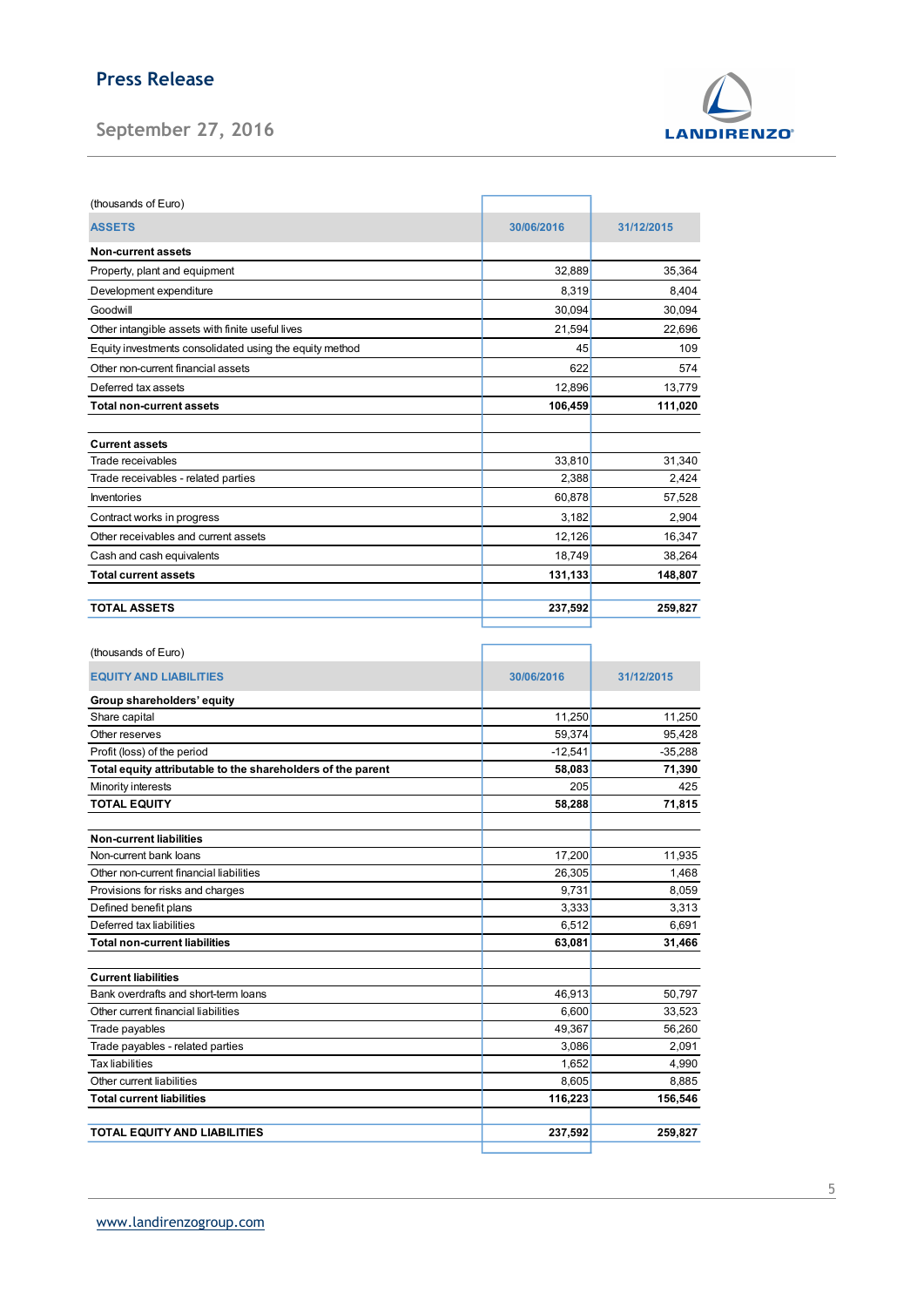## Press Release

September 27, 2016



| (thousands of Euro)                                     |            |            |
|---------------------------------------------------------|------------|------------|
| <b>ASSETS</b>                                           | 30/06/2016 | 31/12/2015 |
| <b>Non-current assets</b>                               |            |            |
| Property, plant and equipment                           | 32,889     | 35,364     |
| Development expenditure                                 | 8,319      | 8,404      |
| Goodwill                                                | 30,094     | 30,094     |
| Other intangible assets with finite useful lives        | 21,594     | 22,696     |
| Equity investments consolidated using the equity method | 45         | 109        |
| Other non-current financial assets                      | 622        | 574        |
| Deferred tax assets                                     | 12,896     | 13,779     |
| <b>Total non-current assets</b>                         | 106,459    | 111,020    |
| <b>Current assets</b>                                   |            |            |
| Trade receivables                                       | 33,810     | 31,340     |
| Trade receivables - related parties                     | 2,388      | 2,424      |
| Inventories                                             | 60,878     | 57,528     |
| Contract works in progress                              | 3,182      | 2,904      |
| Other receivables and current assets                    | 12,126     | 16,347     |
| Cash and cash equivalents                               | 18,749     | 38,264     |
| <b>Total current assets</b>                             | 131,133    | 148,807    |
| <b>TOTAL ASSETS</b>                                     | 237,592    | 259,827    |

| (thousands of Euro)                                         |            |            |
|-------------------------------------------------------------|------------|------------|
| <b>EQUITY AND LIABILITIES</b>                               | 30/06/2016 | 31/12/2015 |
| Group shareholders' equity                                  |            |            |
| Share capital                                               | 11,250     | 11.250     |
| Other reserves                                              | 59,374     | 95,428     |
| Profit (loss) of the period                                 | $-12,541$  | $-35,288$  |
| Total equity attributable to the shareholders of the parent | 58,083     | 71,390     |
| Minority interests                                          | 205        | 425        |
| <b>TOTAL EQUITY</b>                                         | 58,288     | 71,815     |
| <b>Non-current liabilities</b>                              |            |            |
| Non-current bank loans                                      | 17,200     | 11,935     |
| Other non-current financial liabilities                     | 26,305     | 1,468      |
| Provisions for risks and charges                            | 9,731      | 8,059      |
| Defined benefit plans                                       | 3,333      | 3,313      |
| Deferred tax liabilities                                    | 6,512      | 6,691      |
| <b>Total non-current liabilities</b>                        | 63,081     | 31,466     |
| <b>Current liabilities</b>                                  |            |            |
| Bank overdrafts and short-term loans                        | 46,913     | 50.797     |
| Other current financial liabilities                         | 6.600      | 33,523     |
| Trade payables                                              | 49,367     | 56,260     |
| Trade payables - related parties                            | 3,086      | 2,091      |
| <b>Tax liabilities</b>                                      | 1,652      | 4,990      |
| Other current liabilities                                   | 8,605      | 8,885      |
| <b>Total current liabilities</b>                            | 116,223    | 156,546    |
| TOTAL EQUITY AND LIABILITIES                                | 237,592    | 259,827    |